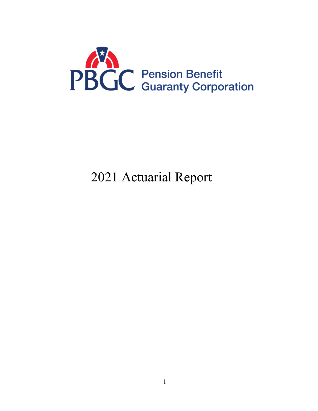

# Actuarial Report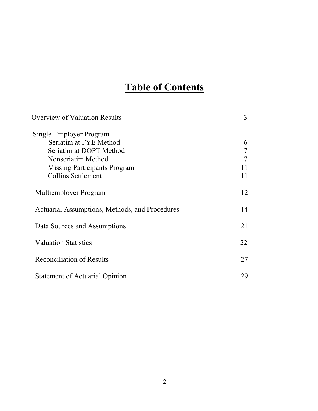# **Table of Contents**

| <b>Overview of Valuation Results</b>           | 3  |
|------------------------------------------------|----|
| Single-Employer Program                        |    |
| Seriatim at FYE Method                         | 6  |
| Seriatim at DOPT Method                        | 7  |
| Nonseriatim Method                             | 7  |
| <b>Missing Participants Program</b>            | 11 |
| <b>Collins Settlement</b>                      | 11 |
| Multiemployer Program                          | 12 |
| Actuarial Assumptions, Methods, and Procedures | 14 |
| Data Sources and Assumptions                   | 21 |
| <b>Valuation Statistics</b>                    | 22 |
| <b>Reconciliation of Results</b>               | 27 |
| <b>Statement of Actuarial Opinion</b>          | 29 |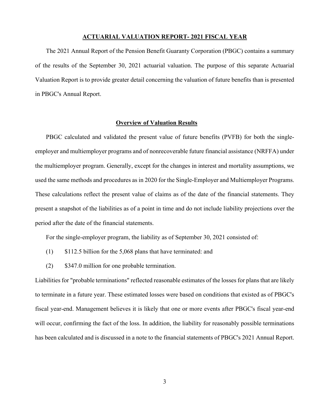#### **ACTUARIAL VALUATION REPORT- 2021 FISCAL YEAR**

The 2021 Annual Report of the Pension Benefit Guaranty Corporation (PBGC) contains a summary of the results of the September 30, 2021 actuarial valuation. The purpose of this separate Actuarial Valuation Report is to provide greater detail concerning the valuation of future benefits than is presented in PBGC's Annual Report.

#### **Overview of Valuation Results**

PBGC calculated and validated the present value of future benefits (PVFB) for both the singleemployer and multiemployer programs and of nonrecoverable future financial assistance (NRFFA) under the multiemployer program. Generally, except for the changes in interest and mortality assumptions, we used the same methods and procedures as in 2020 for the Single-Employer and Multiemployer Programs. These calculations reflect the present value of claims as of the date of the financial statements. They present a snapshot of the liabilities as of a point in time and do not include liability projections over the period after the date of the financial statements.

For the single-employer program, the liability as of September 30, 2021 consisted of:

- (1) \$112.5 billion for the 5,068 plans that have terminated: and
- (2) \$347.0 million for one probable termination.

Liabilities for "probable terminations" reflected reasonable estimates of the losses for plans that are likely to terminate in a future year. These estimated losses were based on conditions that existed as of PBGC's fiscal year-end. Management believes it is likely that one or more events after PBGC's fiscal year-end will occur, confirming the fact of the loss. In addition, the liability for reasonably possible terminations has been calculated and is discussed in a note to the financial statements of PBGC's 2021 Annual Report.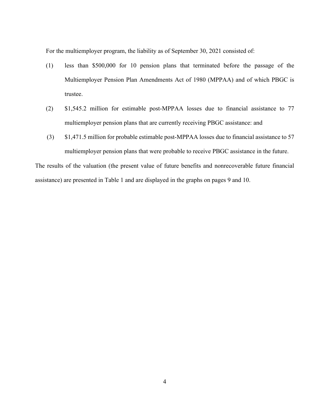For the multiemployer program, the liability as of September 30, 2021 consisted of:

- (1) less than \$500,000 for 10 pension plans that terminated before the passage of the Multiemployer Pension Plan Amendments Act of 1980 (MPPAA) and of which PBGC is trustee.
- (2) \$1,545.2 million for estimable post-MPPAA losses due to financial assistance to 77 multiemployer pension plans that are currently receiving PBGC assistance: and
- (3) \$1,471.5 million for probable estimable post-MPPAA losses due to financial assistance to 57 multiemployer pension plans that were probable to receive PBGC assistance in the future.

The results of the valuation (the present value of future benefits and nonrecoverable future financial assistance) are presented in Table 1 and are displayed in the graphs on pages 9 and 10.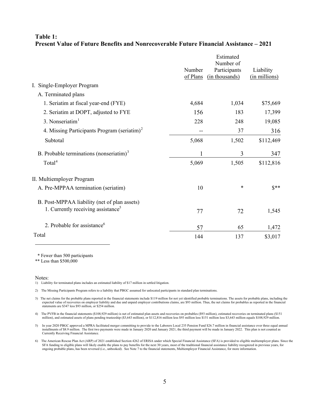## **Table 1: Present Value of Future Benefits and Nonrecoverable Future Financial Assistance – 2021**

|                                                         |                    | Estimated<br>Number of         |                            |
|---------------------------------------------------------|--------------------|--------------------------------|----------------------------|
|                                                         | Number<br>of Plans | Participants<br>(in thousands) | Liability<br>(in millions) |
| I. Single-Employer Program                              |                    |                                |                            |
| A. Terminated plans                                     |                    |                                |                            |
| 1. Seriatim at fiscal year-end (FYE)                    | 4,684              | 1,034                          | \$75,669                   |
| 2. Seriatim at DOPT, adjusted to FYE                    | 156                | 183                            | 17,399                     |
| 3. Nonseriatim <sup>1</sup>                             | 228                | 248                            | 19,085                     |
| 4. Missing Participants Program (seriatim) <sup>2</sup> |                    | 37                             | 316                        |
| Subtotal                                                | 5,068              | 1,502                          | \$112,469                  |
| B. Probable terminations (nonseriatim) <sup>3</sup>     |                    | 3                              | 347                        |
| Total <sup>4</sup>                                      | 5,069              | 1,505                          | \$112,816                  |
| II. Multiemployer Program                               |                    |                                |                            |
| A. Pre-MPPAA termination (seriatim)                     | 10                 | $\ast$                         | $S^{**}$                   |
| B. Post-MPPAA liability (net of plan assets)            |                    |                                |                            |
| 1. Currently receiving assistance <sup>5</sup>          | 77                 | 72                             | 1,545                      |
| 2. Probable for assistance <sup>6</sup>                 | 57                 | 65                             | 1,472                      |
| Total                                                   | 144                | 137                            | \$3,017                    |

\* Fewer than 500 participants

<span id="page-4-0"></span>\*\* Less than \$500,000

Notes:

6) The American Rescue Plan Act (ARP) of 2021 established Section 4262 of ERISA under which Special Financial Assistance (SFA) is provided to eligible multiemployer plans. Since the SFA funding to eligible plans will likely enable the plans to pay benefits for the next 30 years, most of the traditional financial assistance liability recognized in previous years, for ongoing probable plans, has been reversed (i.e., unbooked). See Note 7 to the financial statements, Multiemployer Financial Assistance, for more information.

<sup>1)</sup> Liability for terminated plans includes an estimated liability of \$17 million in settled litigation.

<span id="page-4-1"></span><sup>2)</sup> The Missing Participants Program refers to a liability that PBGC assumed for unlocated participants in standard plan terminations.

<span id="page-4-2"></span><sup>3)</sup> The net claims for the probable plans reported in the financial statements include \$119 million for not yet identified probable terminations. The assets for probable plans, including the expected value of recoveries on employer liability and due and unpaid employer contributions claims, are \$93 million. Thus, the net claims for probables as reported in the financial statements are \$347 less \$93 million, or \$254 million.

<span id="page-4-3"></span><sup>4)</sup> The PVFB in the financial statements (\$108,929 million) is net of estimated plan assets and recoveries on probables (\$93 million), estimated recoveries on terminated plans (\$151 million), and estimated assets of plans pending trusteeship (\$3,643 million), or \$112,816 million less \$93 million less \$151 million less \$3,643 million equals \$108,929 million.

<sup>5)</sup> In year 2020 PBGC approved a MPRA facilitated merger committing to provide to the Laborers Local 235 Pension Fund \$26.7 million in financial assistance over three equal annual installments of \$8.9 million. The first two Currently Receiving Financial Assistance.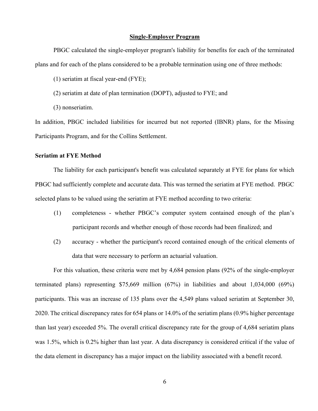#### **Single-Employer Program**

PBGC calculated the single-employer program's liability for benefits for each of the terminated plans and for each of the plans considered to be a probable termination using one of three methods:

(1) seriatim at fiscal year-end (FYE);

- (2) seriatim at date of plan termination (DOPT), adjusted to FYE; and
- (3) nonseriatim.

In addition, PBGC included liabilities for incurred but not reported (IBNR) plans, for the Missing Participants Program, and for the Collins Settlement.

#### **Seriatim at FYE Method**

The liability for each participant's benefit was calculated separately at FYE for plans for which PBGC had sufficiently complete and accurate data. This was termed the seriatim at FYE method. PBGC selected plans to be valued using the seriatim at FYE method according to two criteria:

- (1) completeness whether PBGC's computer system contained enough of the plan's participant records and whether enough of those records had been finalized; and
- (2) accuracy whether the participant's record contained enough of the critical elements of data that were necessary to perform an actuarial valuation.

For this valuation, these criteria were met by 4,684 pension plans (92% of the single-employer terminated plans) representing \$75,669 million (67%) in liabilities and about 1,034,000 (69%) participants. This was an increase of 135 plans over the 4,549 plans valued seriatim at September 30, 2020. The critical discrepancy rates for 654 plans or 14.0% of the seriatim plans (0.9% higher percentage than last year) exceeded 5%. The overall critical discrepancy rate for the group of 4,684 seriatim plans was 1.5%, which is 0.2% higher than last year. A data discrepancy is considered critical if the value of the data element in discrepancy has a major impact on the liability associated with a benefit record.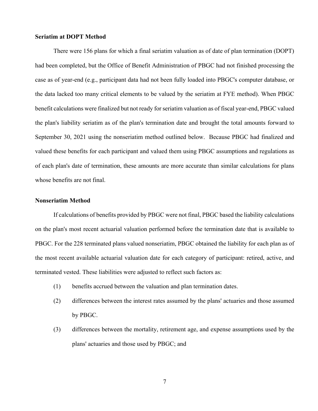#### **Seriatim at DOPT Method**

There were 156 plans for which a final seriatim valuation as of date of plan termination (DOPT) had been completed, but the Office of Benefit Administration of PBGC had not finished processing the case as of year-end (e.g., participant data had not been fully loaded into PBGC's computer database, or the data lacked too many critical elements to be valued by the seriatim at FYE method). When PBGC benefit calculations were finalized but not ready for seriatim valuation as of fiscal year-end, PBGC valued the plan's liability seriatim as of the plan's termination date and brought the total amounts forward to September 30, 2021 using the nonseriatim method outlined below. Because PBGC had finalized and valued these benefits for each participant and valued them using PBGC assumptions and regulations as of each plan's date of termination, these amounts are more accurate than similar calculations for plans whose benefits are not final.

## **Nonseriatim Method**

If calculations of benefits provided by PBGC were not final, PBGC based the liability calculations on the plan's most recent actuarial valuation performed before the termination date that is available to PBGC. For the 228 terminated plans valued nonseriatim, PBGC obtained the liability for each plan as of the most recent available actuarial valuation date for each category of participant: retired, active, and terminated vested. These liabilities were adjusted to reflect such factors as:

- (1) benefits accrued between the valuation and plan termination dates.
- (2) differences between the interest rates assumed by the plans' actuaries and those assumed by PBGC.
- (3) differences between the mortality, retirement age, and expense assumptions used by the plans' actuaries and those used by PBGC; and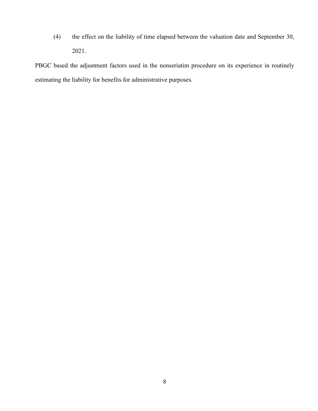(4) the effect on the liability of time elapsed between the valuation date and September 30, 2021.

PBGC based the adjustment factors used in the nonseriatim procedure on its experience in routinely estimating the liability for benefits for administrative purposes.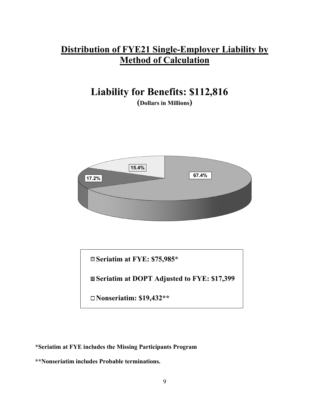# **Distribution of FYE21 Single-Employer Liability by Method of Calculation**

# **Liability for Benefits: \$112,816 (Dollars in Millions)**



**Seriatim at FYE: \$75,985\* Seriatim at DOPT Adjusted to FYE: \$17,399 Nonseriatim: \$19,432\*\***

**\*Seriatim at FYE includes the Missing Participants Program**

**\*\*Nonseriatim includes Probable terminations.**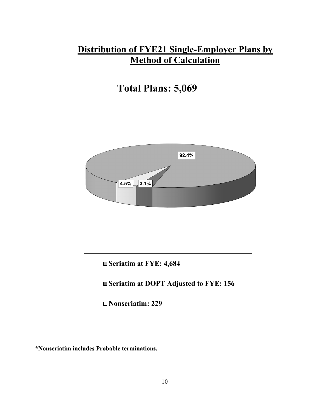# **Distribution of FYE21 Single-Employer Plans by Method of Calculation**

# **Total Plans: 5,069**



**Seriatim at FYE: 4,684**

**Seriatim at DOPT Adjusted to FYE: 156**

**Nonseriatim: 229**

**\*Nonseriatim includes Probable terminations.**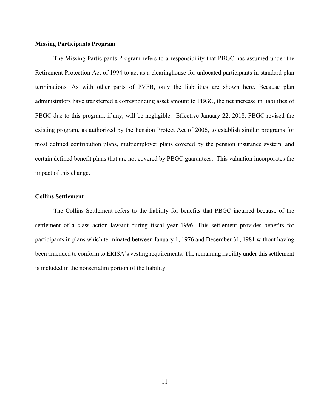## **Missing Participants Program**

The Missing Participants Program refers to a responsibility that PBGC has assumed under the Retirement Protection Act of 1994 to act as a clearinghouse for unlocated participants in standard plan terminations. As with other parts of PVFB, only the liabilities are shown here. Because plan administrators have transferred a corresponding asset amount to PBGC, the net increase in liabilities of PBGC due to this program, if any, will be negligible. Effective January 22, 2018, PBGC revised the existing program, as authorized by the Pension Protect Act of 2006, to establish similar programs for most defined contribution plans, multiemployer plans covered by the pension insurance system, and certain defined benefit plans that are not covered by PBGC guarantees. This valuation incorporates the impact of this change.

## **Collins Settlement**

The Collins Settlement refers to the liability for benefits that PBGC incurred because of the settlement of a class action lawsuit during fiscal year 1996. This settlement provides benefits for participants in plans which terminated between January 1, 1976 and December 31, 1981 without having been amended to conform to ERISA's vesting requirements. The remaining liability under this settlement is included in the nonseriatim portion of the liability.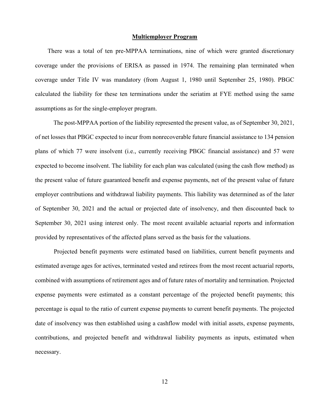#### **Multiemployer Program**

 There was a total of ten pre-MPPAA terminations, nine of which were granted discretionary coverage under the provisions of ERISA as passed in 1974. The remaining plan terminated when coverage under Title IV was mandatory (from August 1, 1980 until September 25, 1980). PBGC calculated the liability for these ten terminations under the seriatim at FYE method using the same assumptions as for the single-employer program.

The post-MPPAA portion of the liability represented the present value, as of September 30, 2021, of net losses that PBGC expected to incur from nonrecoverable future financial assistance to 134 pension plans of which 77 were insolvent (i.e., currently receiving PBGC financial assistance) and 57 were expected to become insolvent. The liability for each plan was calculated (using the cash flow method) as the present value of future guaranteed benefit and expense payments, net of the present value of future employer contributions and withdrawal liability payments. This liability was determined as of the later of September 30, 2021 and the actual or projected date of insolvency, and then discounted back to September 30, 2021 using interest only. The most recent available actuarial reports and information provided by representatives of the affected plans served as the basis for the valuations.

Projected benefit payments were estimated based on liabilities, current benefit payments and estimated average ages for actives, terminated vested and retirees from the most recent actuarial reports, combined with assumptions of retirement ages and of future rates of mortality and termination. Projected expense payments were estimated as a constant percentage of the projected benefit payments; this percentage is equal to the ratio of current expense payments to current benefit payments. The projected date of insolvency was then established using a cashflow model with initial assets, expense payments, contributions, and projected benefit and withdrawal liability payments as inputs, estimated when necessary.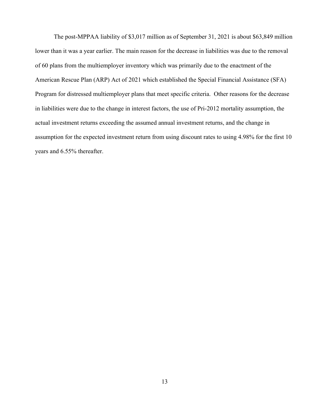The post-MPPAA liability of \$3,017 million as of September 31, 2021 is about \$63,849 million lower than it was a year earlier. The main reason for the decrease in liabilities was due to the removal of 60 plans from the multiemployer inventory which was primarily due to the enactment of the American Rescue Plan (ARP) Act of 2021 which established the Special Financial Assistance (SFA) Program for distressed multiemployer plans that meet specific criteria. Other reasons for the decrease in liabilities were due to the change in interest factors, the use of Pri-2012 mortality assumption, the actual investment returns exceeding the assumed annual investment returns, and the change in assumption for the expected investment return from using discount rates to using 4.98% for the first 10 years and 6.55% thereafter.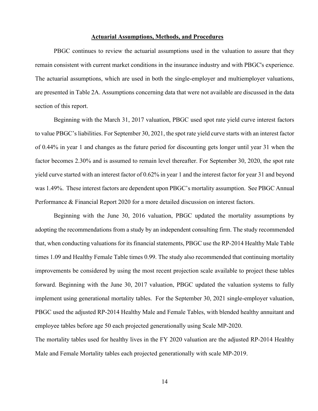#### **Actuarial Assumptions, Methods, and Procedures**

PBGC continues to review the actuarial assumptions used in the valuation to assure that they remain consistent with current market conditions in the insurance industry and with PBGC's experience. The actuarial assumptions, which are used in both the single-employer and multiemployer valuations, are presented in Table 2A. Assumptions concerning data that were not available are discussed in the data section of this report.

Beginning with the March 31, 2017 valuation, PBGC used spot rate yield curve interest factors to value PBGC's liabilities. For September 30, 2021, the spot rate yield curve starts with an interest factor of 0.44% in year 1 and changes as the future period for discounting gets longer until year 31 when the factor becomes 2.30% and is assumed to remain level thereafter. For September 30, 2020, the spot rate yield curve started with an interest factor of 0.62% in year 1 and the interest factor for year 31 and beyond was 1.49%. These interest factors are dependent upon PBGC's mortality assumption. See PBGC Annual Performance & Financial Report 2020 for a more detailed discussion on interest factors.

Beginning with the June 30, 2016 valuation, PBGC updated the mortality assumptions by adopting the recommendations from a study by an independent consulting firm. The study recommended that, when conducting valuations for its financial statements, PBGC use the RP-2014 Healthy Male Table times 1.09 and Healthy Female Table times 0.99. The study also recommended that continuing mortality improvements be considered by using the most recent projection scale available to project these tables forward. Beginning with the June 30, 2017 valuation, PBGC updated the valuation systems to fully implement using generational mortality tables. For the September 30, 2021 single-employer valuation, PBGC used the adjusted RP-2014 Healthy Male and Female Tables, with blended healthy annuitant and employee tables before age 50 each projected generationally using Scale MP-2020.

The mortality tables used for healthy lives in the FY 2020 valuation are the adjusted RP-2014 Healthy Male and Female Mortality tables each projected generationally with scale MP-2019.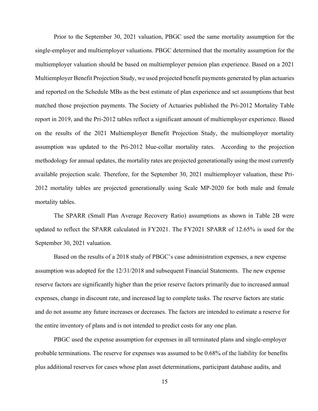Prior to the September 30, 2021 valuation, PBGC used the same mortality assumption for the single-employer and multiemployer valuations. PBGC determined that the mortality assumption for the multiemployer valuation should be based on multiemployer pension plan experience. Based on a 2021 Multiemployer Benefit Projection Study, we used projected benefit payments generated by plan actuaries and reported on the Schedule MBs as the best estimate of plan experience and set assumptions that best matched those projection payments. The Society of Actuaries published the Pri-2012 Mortality Table report in 2019, and the Pri-2012 tables reflect a significant amount of multiemployer experience. Based on the results of the 2021 Multiemployer Benefit Projection Study, the multiemployer mortality assumption was updated to the Pri-2012 blue-collar mortality rates. According to the projection methodology for annual updates, the mortality rates are projected generationally using the most currently available projection scale. Therefore, for the September 30, 2021 multiemployer valuation, these Pri-2012 mortality tables are projected generationally using Scale MP-2020 for both male and female mortality tables.

The SPARR (Small Plan Average Recovery Ratio) assumptions as shown in Table 2B were updated to reflect the SPARR calculated in FY2021. The FY2021 SPARR of 12.65% is used for the September 30, 2021 valuation.

Based on the results of a 2018 study of PBGC's case administration expenses, a new expense assumption was adopted for the 12/31/2018 and subsequent Financial Statements. The new expense reserve factors are significantly higher than the prior reserve factors primarily due to increased annual expenses, change in discount rate, and increased lag to complete tasks. The reserve factors are static and do not assume any future increases or decreases. The factors are intended to estimate a reserve for the entire inventory of plans and is not intended to predict costs for any one plan.

PBGC used the expense assumption for expenses in all terminated plans and single-employer probable terminations. The reserve for expenses was assumed to be 0.68% of the liability for benefits plus additional reserves for cases whose plan asset determinations, participant database audits, and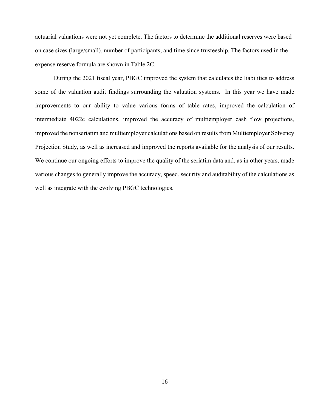actuarial valuations were not yet complete. The factors to determine the additional reserves were based on case sizes (large/small), number of participants, and time since trusteeship. The factors used in the expense reserve formula are shown in Table 2C.

During the 2021 fiscal year, PBGC improved the system that calculates the liabilities to address some of the valuation audit findings surrounding the valuation systems. In this year we have made improvements to our ability to value various forms of table rates, improved the calculation of intermediate 4022c calculations, improved the accuracy of multiemployer cash flow projections, improved the nonseriatim and multiemployer calculations based on results from Multiemployer Solvency Projection Study, as well as increased and improved the reports available for the analysis of our results. We continue our ongoing efforts to improve the quality of the seriatim data and, as in other years, made various changes to generally improve the accuracy, speed, security and auditability of the calculations as well as integrate with the evolving PBGC technologies.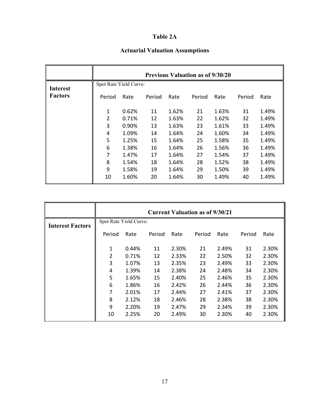# **Table 2A**

# **Actuarial Valuation Assumptions**

|                 |        |                        |        |       | <b>Previous Valuation as of 9/30/20</b> |       |        |       |  |  |
|-----------------|--------|------------------------|--------|-------|-----------------------------------------|-------|--------|-------|--|--|
| <b>Interest</b> |        | Spot Rate Yield Curve: |        |       |                                         |       |        |       |  |  |
| <b>Factors</b>  | Period | Rate                   | Period | Rate  | Period                                  | Rate  | Period | Rate  |  |  |
|                 | 1      | 0.62%                  | 11     | 1.62% | 21                                      | 1.63% | 31     | 1.49% |  |  |
|                 | 2      | 0.71%                  | 12     | 1.63% | 22                                      | 1.62% | 32     | 1.49% |  |  |
|                 | 3      | 0.90%                  | 13     | 1.63% | 23                                      | 1.61% | 33     | 1.49% |  |  |
|                 | 4      | 1.09%                  | 14     | 1.64% | 24                                      | 1.60% | 34     | 1.49% |  |  |
|                 | 5      | 1.25%                  | 15     | 1.64% | 25                                      | 1.58% | 35     | 1.49% |  |  |
|                 | 6      | 1.38%                  | 16     | 1.64% | 26                                      | 1.56% | 36     | 1.49% |  |  |
|                 | 7      | 1.47%                  | 17     | 1.64% | 27                                      | 1.54% | 37     | 1.49% |  |  |
|                 | 8      | 1.54%                  | 18     | 1.64% | 28                                      | 1.52% | 38     | 1.49% |  |  |
|                 | 9      | 1.58%                  | 19     | 1.64% | 29                                      | 1.50% | 39     | 1.49% |  |  |
|                 | 10     | 1.60%                  | 20     | 1.64% | 30                                      | 1.49% | 40     | 1.49% |  |  |

|                         |        |                        |        |       | <b>Current Valuation as of 9/30/21</b> |       |        |       |
|-------------------------|--------|------------------------|--------|-------|----------------------------------------|-------|--------|-------|
| <b>Interest Factors</b> |        | Spot Rate Yield Curve: |        |       |                                        |       |        |       |
|                         | Period | Rate                   | Period | Rate  | Period                                 | Rate  | Period | Rate  |
|                         | 1      | 0.44%                  | 11     | 2.30% | 21                                     | 2.49% | 31     | 2.30% |
|                         | 2      | 0.71%                  | 12     | 2.33% | 22                                     | 2.50% | 32     | 2.30% |
|                         | 3      | 1.07%                  | 13     | 2.35% | 23                                     | 2.49% | 33     | 2.30% |
|                         | 4      | 1.39%                  | 14     | 2.38% | 24                                     | 2.48% | 34     | 2.30% |
|                         | 5      | 1.65%                  | 15     | 2.40% | 25                                     | 2.46% | 35     | 2.30% |
|                         | 6      | 1.86%                  | 16     | 2.42% | 26                                     | 2.44% | 36     | 2.30% |
|                         | 7      | 2.01%                  | 17     | 2.44% | 27                                     | 2.41% | 37     | 2.30% |
|                         | 8      | 2.12%                  | 18     | 2.46% | 28                                     | 2.38% | 38     | 2.30% |
|                         | 9      | 2.20%                  | 19     | 2.47% | 29                                     | 2.34% | 39     | 2.30% |
|                         | 10     | 2.25%                  | 20     | 2.49% | 30                                     | 2.30% | 40     | 2.30% |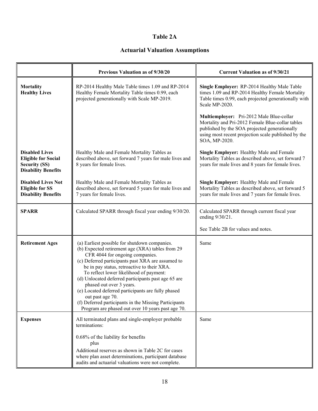# **Table 2A**

# **Actuarial Valuation Assumptions**

|                                                                                                           | Previous Valuation as of 9/30/20                                                                                                                                                                                                                                                                                                                                                                                                                                                                                                                               | <b>Current Valuation as of 9/30/21</b>                                                                                                                                                                                |
|-----------------------------------------------------------------------------------------------------------|----------------------------------------------------------------------------------------------------------------------------------------------------------------------------------------------------------------------------------------------------------------------------------------------------------------------------------------------------------------------------------------------------------------------------------------------------------------------------------------------------------------------------------------------------------------|-----------------------------------------------------------------------------------------------------------------------------------------------------------------------------------------------------------------------|
| <b>Mortality</b><br><b>Healthy Lives</b>                                                                  | RP-2014 Healthy Male Table times 1.09 and RP-2014<br>Healthy Female Mortality Table times 0.99, each<br>projected generationally with Scale MP-2019.                                                                                                                                                                                                                                                                                                                                                                                                           | Single Employer: RP-2014 Healthy Male Table<br>times 1.09 and RP-2014 Healthy Female Mortality<br>Table times 0.99, each projected generationally with<br>Scale MP-2020.                                              |
|                                                                                                           |                                                                                                                                                                                                                                                                                                                                                                                                                                                                                                                                                                | Multiemployer: Pri-2012 Male Blue-collar<br>Mortality and Pri-2012 Female Blue-collar tables<br>published by the SOA projected generationally<br>using most recent projection scale published by the<br>SOA, MP-2020. |
| <b>Disabled Lives</b><br><b>Eligible for Social</b><br><b>Security (SS)</b><br><b>Disability Benefits</b> | Healthy Male and Female Mortality Tables as<br>described above, set forward 7 years for male lives and<br>8 years for female lives.                                                                                                                                                                                                                                                                                                                                                                                                                            | Single Employer: Healthy Male and Female<br>Mortality Tables as described above, set forward 7<br>years for male lives and 8 years for female lives.                                                                  |
| <b>Disabled Lives Not</b><br><b>Eligible for SS</b><br><b>Disability Benefits</b>                         | Healthy Male and Female Mortality Tables as<br>described above, set forward 5 years for male lives and<br>7 years for female lives.                                                                                                                                                                                                                                                                                                                                                                                                                            | Single Employer: Healthy Male and Female<br>Mortality Tables as described above, set forward 5<br>years for male lives and 7 years for female lives.                                                                  |
| <b>SPARR</b>                                                                                              | Calculated SPARR through fiscal year ending 9/30/20.                                                                                                                                                                                                                                                                                                                                                                                                                                                                                                           | Calculated SPARR through current fiscal year<br>ending 9/30/21.                                                                                                                                                       |
|                                                                                                           |                                                                                                                                                                                                                                                                                                                                                                                                                                                                                                                                                                | See Table 2B for values and notes.                                                                                                                                                                                    |
| <b>Retirement Ages</b>                                                                                    | (a) Earliest possible for shutdown companies.<br>(b) Expected retirement age (XRA) tables from 29<br>CFR 4044 for ongoing companies.<br>(c) Deferred participants past XRA are assumed to<br>be in pay status, retroactive to their XRA.<br>To reflect lower likelihood of payment:<br>(d) Unlocated deferred participants past age 65 are<br>phased out over 3 years.<br>(e) Located deferred participants are fully phased<br>out past age 70.<br>(f) Deferred participants in the Missing Participants<br>Program are phased out over 10 years past age 70. | Same                                                                                                                                                                                                                  |
| <b>Expenses</b>                                                                                           | All terminated plans and single-employer probable<br>terminations:                                                                                                                                                                                                                                                                                                                                                                                                                                                                                             | Same                                                                                                                                                                                                                  |
|                                                                                                           | 0.68% of the liability for benefits<br>plus<br>Additional reserves as shown in Table 2C for cases<br>where plan asset determinations, participant database<br>audits and actuarial valuations were not complete.                                                                                                                                                                                                                                                                                                                                               |                                                                                                                                                                                                                       |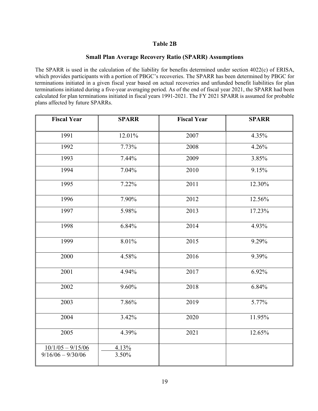# **Table 2B**

# **Small Plan Average Recovery Ratio (SPARR) Assumptions**

The SPARR is used in the calculation of the liability for benefits determined under section 4022(c) of ERISA, which provides participants with a portion of PBGC's recoveries. The SPARR has been determined by PBGC for terminations initiated in a given fiscal year based on actual recoveries and unfunded benefit liabilities for plan terminations initiated during a five-year averaging period. As of the end of fiscal year 2021, the SPARR had been calculated for plan terminations initiated in fiscal years 1991-2021. The FY 2021 SPARR is assumed for probable plans affected by future SPARRs.

| <b>Fiscal Year</b>                         | <b>SPARR</b>   | <b>Fiscal Year</b> | <b>SPARR</b> |
|--------------------------------------------|----------------|--------------------|--------------|
| 1991                                       | 12.01%         | 2007               | 4.35%        |
| 1992                                       | 7.73%          | 2008               | 4.26%        |
| 1993                                       | 7.44%          | 2009               | 3.85%        |
| 1994                                       | 7.04%          | 2010               | 9.15%        |
| 1995                                       | 7.22%          | 2011               | 12.30%       |
| 1996                                       | 7.90%          | 2012               | 12.56%       |
| 1997                                       | 5.98%          | 2013               | 17.23%       |
| 1998                                       | 6.84%          | 2014               | 4.93%        |
| 1999                                       | 8.01%          | 2015               | 9.29%        |
| 2000                                       | 4.58%          | 2016               | 9.39%        |
| 2001                                       | 4.94%          | 2017               | 6.92%        |
| 2002                                       | 9.60%          | 2018               | 6.84%        |
| 2003                                       | 7.86%          | 2019               | 5.77%        |
| 2004                                       | 3.42%          | 2020               | 11.95%       |
| 2005                                       | 4.39%          | 2021               | 12.65%       |
| $10/1/05 - 9/15/06$<br>$9/16/06 - 9/30/06$ | 4.13%<br>3.50% |                    |              |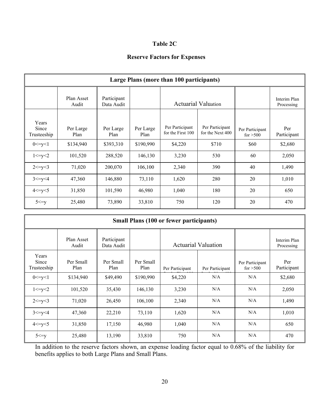# **Table 2C**

# **Reserve Factors for Expenses**

|                               | Large Plans (more than 100 participants) |                           |                   |                                      |                                     |                               |                            |  |  |  |  |
|-------------------------------|------------------------------------------|---------------------------|-------------------|--------------------------------------|-------------------------------------|-------------------------------|----------------------------|--|--|--|--|
|                               | Plan Asset<br>Audit                      | Participant<br>Data Audit |                   |                                      | <b>Actuarial Valuation</b>          |                               | Interim Plan<br>Processing |  |  |  |  |
| Years<br>Since<br>Trusteeship | Per Large<br>Plan                        | Per Large<br>Plan         | Per Large<br>Plan | Per Participant<br>for the First 100 | Per Participant<br>for the Next 400 | Per Participant<br>for $>500$ | Per<br>Participant         |  |  |  |  |
| 0 < y < 1                     | \$134,940                                | \$393,310                 | \$190,990         | \$4,220                              | \$710                               | \$60                          | \$2,680                    |  |  |  |  |
| 1 < y < 2                     | 101,520                                  | 288,520                   | 146,130           | 3,230                                | 530                                 | 60                            | 2,050                      |  |  |  |  |
| $2 \le y \le 3$               | 71,020                                   | 200,070                   | 106,100           | 2,340                                | 390                                 | 40                            | 1,490                      |  |  |  |  |
| 3 < y < 4                     | 47,360                                   | 146,880                   | 73,110            | 1,620                                | 280                                 | 20                            | 1,010                      |  |  |  |  |
| 4 < y < 5                     | 31,850                                   | 101,590                   | 46,980            | 1,040                                | 180                                 | 20                            | 650                        |  |  |  |  |
| $5 \le y$                     | 25,480                                   | 73,890                    | 33,810            | 750                                  | 120                                 | 20                            | 470                        |  |  |  |  |

|                               | <b>Small Plans (100 or fewer participants)</b> |                           |                   |                 |                            |                               |                            |  |  |  |  |
|-------------------------------|------------------------------------------------|---------------------------|-------------------|-----------------|----------------------------|-------------------------------|----------------------------|--|--|--|--|
|                               | Plan Asset<br>Audit                            | Participant<br>Data Audit |                   |                 | <b>Actuarial Valuation</b> |                               | Interim Plan<br>Processing |  |  |  |  |
| Years<br>Since<br>Trusteeship | Per Small<br>Plan                              | Per Small<br>Plan         | Per Small<br>Plan | Per Participant | Per Participant            | Per Participant<br>for $>500$ | Per<br>Participant         |  |  |  |  |
| 0 < y < 1                     | \$134,940                                      | \$49,490                  | \$190,990         | \$4,220         | N/A                        | N/A                           | \$2,680                    |  |  |  |  |
| 1 < y < 2                     | 101,520                                        | 35,430                    | 146,130           | 3,230           | N/A                        | N/A                           | 2,050                      |  |  |  |  |
| $2 \le y \le 3$               | 71,020                                         | 26,450                    | 106,100           | 2,340           | N/A                        | N/A                           | 1,490                      |  |  |  |  |
| 3 < y < 4                     | 47,360                                         | 22,210                    | 73,110            | 1,620           | N/A                        | N/A                           | 1,010                      |  |  |  |  |
| 4 < y < 5                     | 31,850                                         | 17,150                    | 46,980            | 1,040           | N/A                        | N/A                           | 650                        |  |  |  |  |
| $5 \le y$                     | 25,480                                         | 13,190                    | 33,810            | 750             | N/A                        | N/A                           | 470                        |  |  |  |  |

In addition to the reserve factors shown, an expense loading factor equal to 0.68% of the liability for benefits applies to both Large Plans and Small Plans.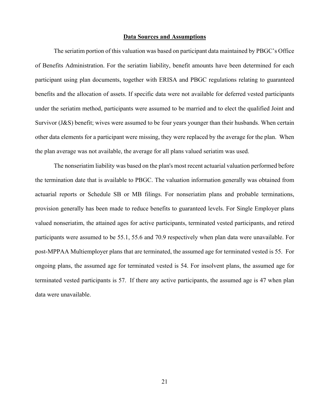### **Data Sources and Assumptions**

The seriatim portion of this valuation was based on participant data maintained by PBGC's Office of Benefits Administration. For the seriatim liability, benefit amounts have been determined for each participant using plan documents, together with ERISA and PBGC regulations relating to guaranteed benefits and the allocation of assets. If specific data were not available for deferred vested participants under the seriatim method, participants were assumed to be married and to elect the qualified Joint and Survivor (J&S) benefit; wives were assumed to be four years younger than their husbands. When certain other data elements for a participant were missing, they were replaced by the average for the plan. When the plan average was not available, the average for all plans valued seriatim was used.

The nonseriatim liability was based on the plan's most recent actuarial valuation performed before the termination date that is available to PBGC. The valuation information generally was obtained from actuarial reports or Schedule SB or MB filings. For nonseriatim plans and probable terminations, provision generally has been made to reduce benefits to guaranteed levels. For Single Employer plans valued nonseriatim, the attained ages for active participants, terminated vested participants, and retired participants were assumed to be 55.1, 55.6 and 70.9 respectively when plan data were unavailable. For post-MPPAA Multiemployer plans that are terminated, the assumed age for terminated vested is 55. For ongoing plans, the assumed age for terminated vested is 54. For insolvent plans, the assumed age for terminated vested participants is 57. If there any active participants, the assumed age is 47 when plan data were unavailable.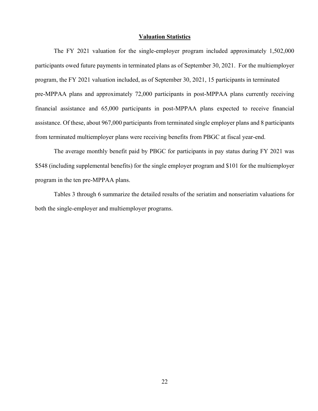### **Valuation Statistics**

The FY 2021 valuation for the single-employer program included approximately 1,502,000 participants owed future payments in terminated plans as of September 30, 2021. For the multiemployer program, the FY 2021 valuation included, as of September 30, 2021, 15 participants in terminated pre-MPPAA plans and approximately 72,000 participants in post-MPPAA plans currently receiving financial assistance and 65,000 participants in post-MPPAA plans expected to receive financial assistance. Of these, about 967,000 participants from terminated single employer plans and 8 participants from terminated multiemployer plans were receiving benefits from PBGC at fiscal year-end.

The average monthly benefit paid by PBGC for participants in pay status during FY 2021 was \$548 (including supplemental benefits) for the single employer program and \$101 for the multiemployer program in the ten pre-MPPAA plans.

Tables 3 through 6 summarize the detailed results of the seriatim and nonseriatim valuations for both the single-employer and multiemployer programs.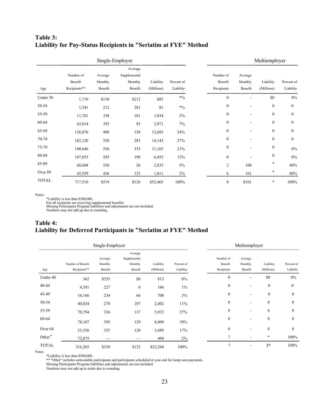# **Table 3: Liability for Pay-Status Recipients in "Seriatim at FYE" Method**

|              |                                      |                               | Single-Employer                               |                         |                         |                                    | Multiemployer                 |                         |                         |
|--------------|--------------------------------------|-------------------------------|-----------------------------------------------|-------------------------|-------------------------|------------------------------------|-------------------------------|-------------------------|-------------------------|
| Age          | Number of<br>Benefit<br>Recipients** | Average<br>Monthly<br>Benefit | Average<br>Supplemental<br>Monthly<br>Benefit | Liability<br>(Millions) | Percent of<br>Liability | Number of<br>Benefit<br>Recipients | Average<br>Monthly<br>Benefit | Liability<br>(Millions) | Percent of<br>Liability |
| Under 50     | 1,710                                | \$130                         | \$212                                         | \$85                    | $*0/0$                  | $\theta$                           |                               | \$0                     | $0\%$                   |
| 50-54        | 1,341                                | 212                           | 281                                           | 81                      | $*9/0$                  | $\mathbf{0}$                       |                               | $\mathbf{0}$            | $\mathbf{0}$            |
| 55-59        | 11,781                               | 338                           | 101                                           | 1,034                   | 2%                      | $\mathbf{0}$                       |                               | $\mathbf{0}$            | $\mathbf{0}$            |
| 60-64        | 43,814                               | 393                           | 85                                            | 3,971                   | 7%                      | $\theta$                           |                               | $\mathbf{0}$            | $\mathbf{0}$            |
| 65-69        | 126,076                              | 498                           | 158                                           | 12,685                  | 24%                     | $\mathbf{0}$                       |                               | $\mathbf{0}$            | $\mathbf{0}$            |
| 70-74        | 162,120                              | 520                           | 283                                           | 14,143                  | 27%                     | $\mathbf{0}$                       |                               | $\boldsymbol{0}$        | $\boldsymbol{0}$        |
| 75-79        | 148,646                              | 556                           | 335                                           | 11,165                  | 21%                     | $\mathbf{0}$                       |                               | $\boldsymbol{0}$        | $0\%$                   |
| 80-84        | 107,855                              | 585                           | 198                                           | 6,455                   | 12%                     | $\mathbf{0}$                       |                               | $\boldsymbol{0}$        | $0\%$                   |
| 85-89        | 68,608                               | 550                           | 26                                            | 2,835                   | $5\%$                   | $\overline{2}$                     | 100                           | *                       | 40%                     |
| Over 89      | 45,559                               | 436                           | 125                                           | 1,011                   | 2%                      | 6                                  | 101                           | $\ast$                  | 60%                     |
| <b>TOTAL</b> | 717,510                              | \$519                         | \$126                                         | \$53,465                | 100%                    | 8                                  | \$101                         | *                       | 100%                    |

Notes:

\*Liability is less than \$500,000.

Not all recipients are receiving supplemental benefits. Missing Participants Program liabilities and adjustments are not included. Numbers may not add up due to rounding.

# **Table 4: Liability for Deferred Participants in "Seriatim at FYE" Method**

|              |                                   | Single-Employer               |                                               |                         |                         |                                    | Multiemployer                 |                         |                         |
|--------------|-----------------------------------|-------------------------------|-----------------------------------------------|-------------------------|-------------------------|------------------------------------|-------------------------------|-------------------------|-------------------------|
| Age          | Number of Benefit<br>Recipients** | Average<br>Monthly<br>Benefit | Average<br>Supplemental<br>Monthly<br>Benefit | Liability<br>(Millions) | Percent of<br>Liability | Number of<br>Benefit<br>Recipients | Average<br>Monthly<br>Benefit | Liability<br>(Millions) | Percent of<br>Liability |
| Under 40     | 362                               | \$255                         | \$0                                           | \$13                    | 0%                      | $\mathbf{0}$                       | ۰                             | \$0                     | $0\%$                   |
| 40-44        | 4,381                             | 227                           | $\mathbf{0}$                                  | 166                     | 1%                      | $\theta$                           |                               | $\mathbf{0}$            | $\theta$                |
| 45-49        | 16,166                            | 234                           | 66                                            | 708                     | 3%                      | $\theta$                           |                               | $\mathbf{0}$            | 0                       |
| 50-54        | 40,024                            | 278                           | 107                                           | 2,402                   | 11%                     | $\mathbf{0}$                       |                               | $\boldsymbol{0}$        | $\bf{0}$                |
| 55-59        | 70,794                            | 336                           | 137                                           | 5,923                   | 27%                     | $\theta$                           |                               | $\mathbf{0}$            | $\bf{0}$                |
| 60-64        | 78,107                            | 395                           | 129                                           | 8,809                   | 39%                     | $\Omega$                           |                               | $\mathbf{0}$            | $\theta$                |
| Over 64      | 33,556                            | 355                           | 120                                           | 3,689                   | 17%                     | $\theta$                           |                               | $\mathbf{0}$            | $\theta$                |
| Other**      | 72,875                            | - -                           | $ -$                                          | 494                     | 2%                      |                                    |                               | $\ast$                  | 100%                    |
| <b>TOTAL</b> | 316,265                           | \$339                         | \$123                                         | \$22,204                | 100%                    |                                    |                               | $S^*$                   | 100%                    |

Notes

\*Liability is less than \$500,000.

\*\* "Other" includes unlocatable participants and participants scheduled at year end for lump sum payments.

Missing Participants Program liabilities and adjustments are not included.

Numbers may not add up to totals due to rounding.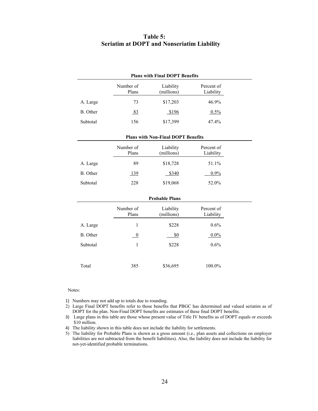## **Table 5: Seriatim at DOPT and Nonseriatim Liability**

|          | <b>Plans with Final DOPT Benefits</b> |                                           |                         |  |  |  |  |  |  |
|----------|---------------------------------------|-------------------------------------------|-------------------------|--|--|--|--|--|--|
|          | Number of<br>Plans                    | Liability<br>(millions)                   | Percent of<br>Liability |  |  |  |  |  |  |
| A. Large | 73                                    | \$17,203                                  | 46.9%                   |  |  |  |  |  |  |
| B. Other | 83                                    | \$196                                     | 0.5%                    |  |  |  |  |  |  |
| Subtotal | 156                                   | \$17,399                                  | 47.4%                   |  |  |  |  |  |  |
|          |                                       | <b>Plans with Non-Final DOPT Benefits</b> |                         |  |  |  |  |  |  |
|          | Number of<br>Plans                    | Liability<br>(millions)                   | Percent of<br>Liability |  |  |  |  |  |  |
| A. Large | 89                                    | \$18,728                                  | 51.1%                   |  |  |  |  |  |  |
| B. Other | <u>139</u>                            | \$340                                     | 0.9%                    |  |  |  |  |  |  |
| Subtotal | 228                                   | \$19,068                                  | 52.0%                   |  |  |  |  |  |  |
|          |                                       | <b>Probable Plans</b>                     |                         |  |  |  |  |  |  |
|          | Number of<br>Plans                    | Liability<br>(millions)                   | Percent of<br>Liability |  |  |  |  |  |  |
| A. Large | 1                                     | \$228                                     | $0.6\%$                 |  |  |  |  |  |  |
| B. Other | $\boldsymbol{0}$                      | \$0                                       | $0.0\%$                 |  |  |  |  |  |  |
| Subtotal | $\mathbf{1}$                          | \$228                                     | 0.6%                    |  |  |  |  |  |  |
|          |                                       |                                           |                         |  |  |  |  |  |  |
| Total    | 385                                   | \$36,695                                  | 100.0%                  |  |  |  |  |  |  |

#### Notes:

- 1) Numbers may not add up to totals due to rounding.
- 2) Large Final DOPT benefits refer to those benefits that PBGC has determined and valued seriatim as of DOPT for the plan. Non-Final DOPT benefits are estimates of these final DOPT benefits.
- 3) Large plans in this table are those whose present value of Title IV benefits as of DOPT equals or exceeds \$10 million.
- 4) The liability shown in this table does not include the liability for settlements.
- 5) The liability for Probable Plans is shown as a gross amount (i.e., plan assets and collections on employer liabilities are not subtracted from the benefit liabilities). Also, the liability does not include the liability for not-yet-identified probable terminations.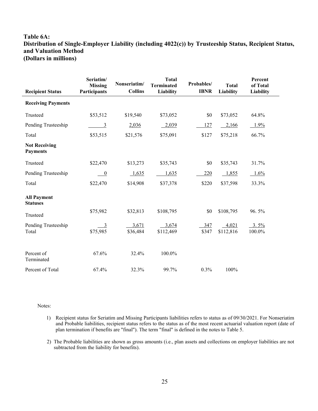# **Table 6A: Distribution of Single-Employer Liability (including 4022(c)) by Trusteeship Status, Recipient Status, and Valuation Method (Dollars in millions)**

| <b>Recipient Status</b>                 | Seriatim/<br><b>Missing</b><br><b>Participants</b> | Nonseriatim/<br><b>Collins</b> | <b>Total</b><br><b>Terminated</b><br>Liability | Probables/<br><b>IBNR</b> | <b>Total</b><br><b>Liability</b> | Percent<br>of Total<br>Liability |
|-----------------------------------------|----------------------------------------------------|--------------------------------|------------------------------------------------|---------------------------|----------------------------------|----------------------------------|
| <b>Receiving Payments</b>               |                                                    |                                |                                                |                           |                                  |                                  |
| Trusteed                                | \$53,512                                           | \$19,540                       | \$73,052                                       | \$0                       | \$73,052                         | 64.8%                            |
| Pending Trusteeship                     | 3                                                  | 2,036                          | 2,039                                          | 127                       | 2,166                            | $1.9\%$                          |
| Total                                   | \$53,515                                           | \$21,576                       | \$75,091                                       | \$127                     | \$75,218                         | 66.7%                            |
| <b>Not Receiving</b><br><b>Payments</b> |                                                    |                                |                                                |                           |                                  |                                  |
| Trusteed                                | \$22,470                                           | \$13,273                       | \$35,743                                       | \$0                       | \$35,743                         | 31.7%                            |
| Pending Trusteeship                     | $\overline{0}$                                     | 1,635                          | 1,635                                          | 220                       | 1,855                            | $1.6\%$                          |
| Total                                   | \$22,470                                           | \$14,908                       | \$37,378                                       | \$220                     | \$37,598                         | 33.3%                            |
| <b>All Payment</b><br><b>Statuses</b>   |                                                    |                                |                                                |                           |                                  |                                  |
| Trusteed                                | \$75,982                                           | \$32,813                       | \$108,795                                      | \$0                       | \$108,795                        | 96.5%                            |
| Pending Trusteeship<br>Total            | $\frac{3}{2}$<br>\$75,985                          | 3,671<br>\$36,484              | 3,674<br>\$112,469                             | 347<br>\$347              | 4,021<br>\$112,816               | $3.5\%$<br>100.0%                |
| Percent of<br>Terminated                | 67.6%                                              | 32.4%                          | 100.0%                                         |                           |                                  |                                  |
| Percent of Total                        | 67.4%                                              | 32.3%                          | 99.7%                                          | 0.3%                      | 100%                             |                                  |

Notes:

 $\overline{a}$ 

- 1) Recipient status for Seriatim and Missing Participants liabilities refers to status as of 09/30/2021. For Nonseriatim and Probable liabilities, recipient status refers to the status as of the most recent actuarial valuation report (date of plan termination if benefits are "final"). The term "final" is defined in the notes to Table 5.
- 2) The Probable liabilities are shown as gross amounts (i.e., plan assets and collections on employer liabilities are not subtracted from the liability for benefits).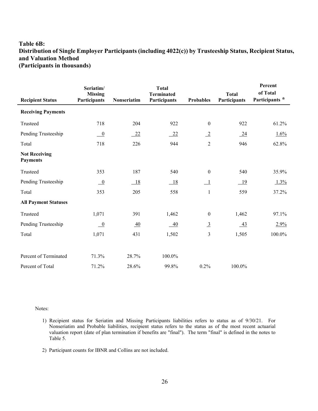# **Table 6B: Distribution of Single Employer Participants (including 4022(c)) by Trusteeship Status, Recipient Status, and Valuation Method (Participants in thousands)**

| <b>Recipient Status</b>                 | Seriatim/<br><b>Missing</b><br>Participants | Nonseriatim     | <b>Total</b><br><b>Terminated</b><br>Participants | <b>Probables</b> | <b>Total</b><br>Participants | Percent<br>of Total<br>Participants * |
|-----------------------------------------|---------------------------------------------|-----------------|---------------------------------------------------|------------------|------------------------------|---------------------------------------|
| <b>Receiving Payments</b>               |                                             |                 |                                                   |                  |                              |                                       |
| Trusteed                                | 718                                         | 204             | 922                                               | $\boldsymbol{0}$ | 922                          | 61.2%                                 |
| Pending Trusteeship                     | $\overline{\phantom{0}0}$                   | $-22$           | 22                                                | $\overline{-2}$  | 24                           | 1.6%                                  |
| Total                                   | 718                                         | 226             | 944                                               | $\overline{2}$   | 946                          | 62.8%                                 |
| <b>Not Receiving</b><br><b>Payments</b> |                                             |                 |                                                   |                  |                              |                                       |
| Trusteed                                | 353                                         | 187             | 540                                               | $\boldsymbol{0}$ | 540                          | 35.9%                                 |
| Pending Trusteeship                     | $\underline{\phantom{0}}$                   | $-18$           | 18                                                | - 1              | 19                           | 1.3%                                  |
| Total                                   | 353                                         | 205             | 558                                               | $\mathbf{1}$     | 559                          | 37.2%                                 |
| <b>All Payment Statuses</b>             |                                             |                 |                                                   |                  |                              |                                       |
| Trusteed                                | 1,071                                       | 391             | 1,462                                             | $\boldsymbol{0}$ | 1,462                        | 97.1%                                 |
| Pending Trusteeship                     | $\overline{0}$                              | $\overline{40}$ | $-40$                                             | $\overline{3}$   | $\frac{43}{2}$               | 2.9%                                  |
| Total                                   | 1,071                                       | 431             | 1,502                                             | 3                | 1,505                        | 100.0%                                |
|                                         |                                             |                 |                                                   |                  |                              |                                       |
| Percent of Terminated                   | 71.3%                                       | 28.7%           | 100.0%                                            |                  |                              |                                       |
| Percent of Total                        | 71.2%                                       | 28.6%           | 99.8%                                             | 0.2%             | 100.0%                       |                                       |

Notes:

- 1) Recipient status for Seriatim and Missing Participants liabilities refers to status as of 9/30/21. For Nonseriatim and Probable liabilities, recipient status refers to the status as of the most recent actuarial valuation report (date of plan termination if benefits are "final"). The term "final" is defined in the notes to Table 5.
- 2) Participant counts for IBNR and Collins are not included.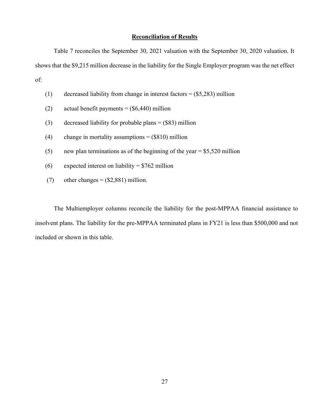## **Reconciliation of Results**

Table 7 reconciles the September 30, 2021 valuation with the September 30, 2020 valuation. It shows that the \$9,215 million decrease in the liability for the Single Employer program was the net effect of:

- (1) decreased liability from change in interest factors =  $(\$5,283)$  million
- (2) actual benefit payments =  $(\$6,440)$  million
- (3) decreased liability for probable plans = (\$83) million
- (4) change in mortality assumptions  $=$  (\$810) million
- (5) new plan terminations as of the beginning of the year =  $$5,520$  million
- (6) expected interest on liability =  $$762$  million
- (7) other changes =  $(\$2,881)$  million.

The Multiemployer columns reconcile the liability for the post-MPPAA financial assistance to insolvent plans. The liability for the pre-MPPAA terminated plans in FY21 is less than \$500,000 and not included or shown in this table.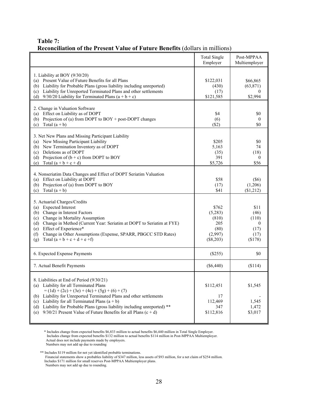# **Table 7: Reconciliation of the Present Value of Future Benefits** (dollars in millions)

|                                                                                                                                                                                                                                                                                                                                                                                                                                      | <b>Total Single</b><br>Employer                                    | Post-MPPAA<br>Multiemployer                                   |
|--------------------------------------------------------------------------------------------------------------------------------------------------------------------------------------------------------------------------------------------------------------------------------------------------------------------------------------------------------------------------------------------------------------------------------------|--------------------------------------------------------------------|---------------------------------------------------------------|
| 1. Liability at BOY (9/30/20)<br>Present Value of Future Benefits for all Plans<br>(a)<br>Liability for Probable Plans (gross liability including unreported)<br>(b)<br>Liability for Unreported Terminated Plans and other settlements<br>(c)<br>9/30/20 Liability for Terminated Plans $(a + b + c)$<br>(d)                                                                                                                        | \$122,031<br>(430)<br>(17)<br>\$121,585                            | \$66,865<br>(63, 871)<br>$\Omega$<br>\$2,994                  |
| 2. Change in Valuation Software<br>Effect on Liability as of DOPT<br>(a)<br>Projection of (a) from DOPT to BOY + post-DOPT changes<br>(b)<br>Total $(a + b)$<br>(c)                                                                                                                                                                                                                                                                  | \$4<br>(6)<br>$($ \$2)                                             | \$0<br>$\theta$<br>\$0                                        |
| 3. Net New Plans and Missing Participant Liability<br>New Missing Participant Liability<br>(a)<br>New Termination Inventory as of DOPT<br>(b)<br>Deletions as of DOPT<br>(c)<br>Projection of $(b + c)$ from DOPT to BOY<br>(d)<br>Total $(a + b + c + d)$<br>(e)                                                                                                                                                                    | \$205<br>5,163<br>(35)<br>391<br>\$5,726                           | \$0<br>74<br>(18)<br>$\overline{0}$<br>\$56                   |
| 4. Nonseriatim Data Changes and Effect of DOPT Seriatim Valuation<br>Effect on Liability at DOPT<br>(a)<br>Projection of (a) from DOPT to BOY<br>(b)<br>Total $(a + b)$<br>(c)                                                                                                                                                                                                                                                       | \$58<br>(17)<br>\$41                                               | (S6)<br>(1,206)<br>(\$1,212)                                  |
| 5. Actuarial Charges/Credits<br><b>Expected Interest</b><br>(a)<br>Change in Interest Factors<br>(b)<br>Change in Mortality Assumption<br>(c)<br>Change in Method (Current Year: Seriatim at DOPT to Seriatim at FYE)<br>(d)<br>Effect of Experience*<br>(e)<br>Change in Other Assumptions (Expense, SPARR, PBGCC STD Rates)<br>(f)<br>Total $(a + b + c + d + e + f)$<br>(g)                                                       | \$762<br>(5,283)<br>(810)<br>205<br>(80)<br>(2,997)<br>$(\$8,203)$ | \$11<br>(46)<br>(110)<br>$\theta$<br>(17)<br>(17)<br>( \$178) |
| 6. Expected Expense Payments                                                                                                                                                                                                                                                                                                                                                                                                         | (\$255)                                                            | \$0                                                           |
| 7. Actual Benefit Payments                                                                                                                                                                                                                                                                                                                                                                                                           | $(\$6,440)$                                                        | (\$114)                                                       |
| 8. Liabilities at End of Period (9/30/21)<br>(a) Liability for all Terminated Plans<br>$= (1d) + (2c) + (3e) + (4c) + (5g) + (6) + (7)$<br>Liability for Unreported Terminated Plans and other settlements<br>(b)<br>Liability for all Terminated Plans $(a + b)$<br>(c)<br>Liability for Probable Plans (gross liability including unreported) **<br>(d)<br>$9/30/21$ Present Value of Future Benefits for all Plans (c + d)<br>(e) | \$112,451<br>17<br>112,469<br>347<br>\$112,816                     | \$1,545<br>1,545<br>1,472<br>\$3,017                          |

\* Includes change from expected benefits \$6,833 million to actual benefits \$6,440 million in Total Single Employer. Includes change from expected benefits \$132 million to actual benefits \$114 million in Post-MPPAA Multiemployer. Actual does not include payments made by employers. Numbers may not add up due to rounding

\*\* Includes \$119 million for not yet identified probable terminations.

Financial statements show a probables liability of \$347 million, less assets of \$93 million, for a net claim of \$254 million. Includes \$171 million for small reserves Post-MPPAA Multiemployer plans. Numbers may not add up due to rounding.